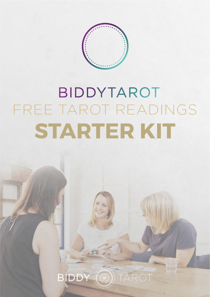

# BIDDYTAROT FREE TAROT READINGS STARTER KIT

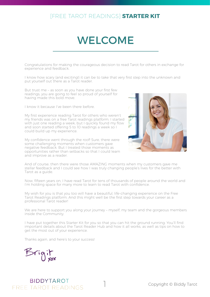## WELCOME

<span id="page-1-0"></span>Congratulations for making the courageous decision to read Tarot for others in exchange for experience and feedback.

I know how scary (and exciting!) it can be to take that very first step into the unknown and put yourself out there as a Tarot reader.

But trust me – as soon as you have done your first few readings, you are going to feel so proud of yourself for having made this bold move.

I know it because I've been there before.



My first experience reading Tarot for others who weren't my friends was on a free Tarot readings platform. I started with just one reading a week, but I quickly found my flow and soon started offering 5 to 10 readings a week so I could build up my experience.

My confidence went through the roof! Sure, there were some challenging moments when customers gave negative feedback. But I treated those moments as opportunities rather than setbacks so that I could learn and improve as a reader.

And of course, then there were those AMAZING moments when my customers gave me stellar feedback and I could see how I was truly changing people's lives for the better with Tarot as a guide.

Now, fifteen years on, I have read Tarot for tens of thousands of people around the world and I'm holding space for many more to learn to read Tarot with confidence.

My wish for you is that you too will have a beautiful, life-changing experience on the Free Tarot Readings platform. And this might well be the first step towards your career as a professional Tarot reader!

We are here to support you along your journey - myself, my team and the gorgeous members inside the Community.

I have put together this Starter Kit for you so that you can hit the ground running. You'll find important details about the Tarot Reader Hub and how it all works, as well as tips on how to get the most out of your experience.

Thanks again, and here's to your success!

Brigi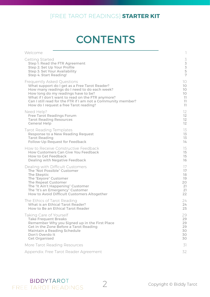## **CONTENTS**

| Welcome                                                                                                                                     | $\big] % \begin{center} % \includegraphics[width=\textwidth]{images/Traj_48.png} % \end{center} % \caption { % of the Grotant-Weyl approach. % We have a Grotant-Weyl method. % We have a Grotant-Weyl method. % We have a Grotant-Weyl method. % We have a Grotant-Weyl method. % We have a Grotant-Weyl method. % We have a Grotant-Weyl method. % We have a Grotant-Weyl method. % We have a Grotant-Weyl method. % We have a Grotant-Weyl method. % We have a Grotant-Weyl method. % We have a Grotant-Weyl method. % We have a Grotant-Weyl method. % We have a Grotant-Weyl method. % We have a Grotant-Weyl method. % We have$ |
|---------------------------------------------------------------------------------------------------------------------------------------------|---------------------------------------------------------------------------------------------------------------------------------------------------------------------------------------------------------------------------------------------------------------------------------------------------------------------------------------------------------------------------------------------------------------------------------------------------------------------------------------------------------------------------------------------------------------------------------------------------------------------------------------|
| Getting Started<br>Step 1: Read the FTR Agreement<br>Step 2: Set Up Your Profile<br>Step 3: Set Your Availability<br>Step 4: Start Reading! | $\frac{3}{3}$ $\frac{3}{5}$<br>$\overline{7}$                                                                                                                                                                                                                                                                                                                                                                                                                                                                                                                                                                                         |
| Frequently Asked Questions                                                                                                                  | 10                                                                                                                                                                                                                                                                                                                                                                                                                                                                                                                                                                                                                                    |
| What support do I get as a Free Tarot Reader?                                                                                               | 10                                                                                                                                                                                                                                                                                                                                                                                                                                                                                                                                                                                                                                    |
| How many readings do I need to do each week?                                                                                                | 10                                                                                                                                                                                                                                                                                                                                                                                                                                                                                                                                                                                                                                    |
| How long do my readings have to be?                                                                                                         | 10                                                                                                                                                                                                                                                                                                                                                                                                                                                                                                                                                                                                                                    |
| What if I don't want to read on the FTR anymore?                                                                                            | 11                                                                                                                                                                                                                                                                                                                                                                                                                                                                                                                                                                                                                                    |
| Can I still read for the FTR if I am not a Community member?                                                                                | 11                                                                                                                                                                                                                                                                                                                                                                                                                                                                                                                                                                                                                                    |
| How do I request a free Tarot reading?                                                                                                      | 11                                                                                                                                                                                                                                                                                                                                                                                                                                                                                                                                                                                                                                    |
| Need Help?                                                                                                                                  | 12                                                                                                                                                                                                                                                                                                                                                                                                                                                                                                                                                                                                                                    |
| <b>Free Tarot Readings Forum</b>                                                                                                            | 12                                                                                                                                                                                                                                                                                                                                                                                                                                                                                                                                                                                                                                    |
| <b>Tarot Reading Resources</b>                                                                                                              | 12                                                                                                                                                                                                                                                                                                                                                                                                                                                                                                                                                                                                                                    |
| <b>General Help</b>                                                                                                                         | 12                                                                                                                                                                                                                                                                                                                                                                                                                                                                                                                                                                                                                                    |
| <b>Tarot Reading Templates</b>                                                                                                              | 13                                                                                                                                                                                                                                                                                                                                                                                                                                                                                                                                                                                                                                    |
| Response to a New Reading Request                                                                                                           | 13                                                                                                                                                                                                                                                                                                                                                                                                                                                                                                                                                                                                                                    |
| <b>Tarot Reading</b>                                                                                                                        | 13                                                                                                                                                                                                                                                                                                                                                                                                                                                                                                                                                                                                                                    |
| Follow-Up Request for Feedback                                                                                                              | 14                                                                                                                                                                                                                                                                                                                                                                                                                                                                                                                                                                                                                                    |
| How to Receive Constructive Feedback                                                                                                        | 15                                                                                                                                                                                                                                                                                                                                                                                                                                                                                                                                                                                                                                    |
| How Customers Can Give You Feedback                                                                                                         | 15                                                                                                                                                                                                                                                                                                                                                                                                                                                                                                                                                                                                                                    |
| How to Get Feedback                                                                                                                         | 15                                                                                                                                                                                                                                                                                                                                                                                                                                                                                                                                                                                                                                    |
| <b>Dealing with Negative Feedback</b>                                                                                                       | 16                                                                                                                                                                                                                                                                                                                                                                                                                                                                                                                                                                                                                                    |
| Dealing with Difficult Customers                                                                                                            | 17                                                                                                                                                                                                                                                                                                                                                                                                                                                                                                                                                                                                                                    |
| The "Not Possible" Customer                                                                                                                 | 17                                                                                                                                                                                                                                                                                                                                                                                                                                                                                                                                                                                                                                    |
| The Skeptic                                                                                                                                 | 18                                                                                                                                                                                                                                                                                                                                                                                                                                                                                                                                                                                                                                    |
| The "Eeyore" Customer                                                                                                                       | 19                                                                                                                                                                                                                                                                                                                                                                                                                                                                                                                                                                                                                                    |
| The Repeat Customer                                                                                                                         | 20                                                                                                                                                                                                                                                                                                                                                                                                                                                                                                                                                                                                                                    |
| The "It Ain't Happening" Customer                                                                                                           | 21                                                                                                                                                                                                                                                                                                                                                                                                                                                                                                                                                                                                                                    |
| The "It's an Emergency" Customer                                                                                                            | 21                                                                                                                                                                                                                                                                                                                                                                                                                                                                                                                                                                                                                                    |
| How to Avoid Difficult Customers Altogether                                                                                                 | 22                                                                                                                                                                                                                                                                                                                                                                                                                                                                                                                                                                                                                                    |
| The Ethics of Tarot Reading                                                                                                                 | 24                                                                                                                                                                                                                                                                                                                                                                                                                                                                                                                                                                                                                                    |
| <b>What is an Ethical Tarot Reader?</b>                                                                                                     | 24                                                                                                                                                                                                                                                                                                                                                                                                                                                                                                                                                                                                                                    |
| How to Be an Ethical Tarot Reader                                                                                                           | 25                                                                                                                                                                                                                                                                                                                                                                                                                                                                                                                                                                                                                                    |
| Taking Care of Yourself                                                                                                                     | 29                                                                                                                                                                                                                                                                                                                                                                                                                                                                                                                                                                                                                                    |
| <b>Take Frequent Breaks</b>                                                                                                                 | 29                                                                                                                                                                                                                                                                                                                                                                                                                                                                                                                                                                                                                                    |
| Remember Why you Signed up in the First Place                                                                                               | 29                                                                                                                                                                                                                                                                                                                                                                                                                                                                                                                                                                                                                                    |
| <b>Cet in the Zone Before a Tarot Reading</b>                                                                                               | 29                                                                                                                                                                                                                                                                                                                                                                                                                                                                                                                                                                                                                                    |
| <b>Maintain a Reading Schedule</b>                                                                                                          | 30                                                                                                                                                                                                                                                                                                                                                                                                                                                                                                                                                                                                                                    |
| Don't Overdo It                                                                                                                             | 30                                                                                                                                                                                                                                                                                                                                                                                                                                                                                                                                                                                                                                    |
| <b>Get Organised</b>                                                                                                                        | 30                                                                                                                                                                                                                                                                                                                                                                                                                                                                                                                                                                                                                                    |
| More Tarot Reading Resources                                                                                                                | 31                                                                                                                                                                                                                                                                                                                                                                                                                                                                                                                                                                                                                                    |
| Appendix: Free Tarot Reader Agreement                                                                                                       | 32                                                                                                                                                                                                                                                                                                                                                                                                                                                                                                                                                                                                                                    |

2 Copyright © Biddy Tarot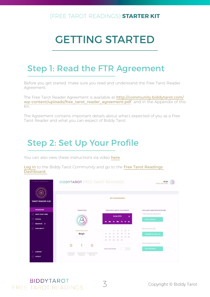## <span id="page-3-0"></span>GETTING STARTED

### Step 1: Read the FTR Agreement

Before you get started, make sure you read and understand the Free Tarot Reader Agreement.

The Free Tarot Reader Agreement is available at [http://community.biddytarot.com/](http://community.biddytarot.com/wp-content/uploads/free_tarot_reader_agreement.pdf) [wp-content/uploads/free\\_tarot\\_reader\\_agreement.pdf](http://community.biddytarot.com/wp-content/uploads/free_tarot_reader_agreement.pdf) and in the Appendix of this Kit.

The Agreement contains important details about what's expected of you as a Free Tarot Reader and what you can expect of Biddy Tarot.

### Step 2: Set Up Your Profile

You can also view these instructions via video [here](http://community.biddytarot.com/ftr-getting-started/).

[Log in](http://www.community.biddytarot.com) to the Biddy Tarot Community and go to the Free Tarot Readings [Dashboard.](http://community.biddytarot.com/readers-hub/dashboard/)

| <b>MY DASHBOARD</b><br><b>TAROT READER HUB</b>                                                 |                              |
|------------------------------------------------------------------------------------------------|------------------------------|
|                                                                                                |                              |
| DASHBOARD<br><b>YOUR STATS:</b><br>YOUR AVAILABILITY THIS MONTH                                | YOU HAVE I NEW NOTIFICATIONS |
| NEW? START HERE<br><b>ALLIII</b><br><b>June 2016</b><br>$\rightarrow$                          | 1 NEW READING REQUESTS       |
| $\Box$<br><b>PROFILE</b>                                                                       | <b>START READING</b>         |
| We<br>The Fire San<br>Su.<br><b>READINGS 1</b>                                                 |                              |
| 17711444<br>10 30 31 34<br><b>AVAILABILITY</b>                                                 | NEW FOLLOW-UPS!              |
| <b>TAROT EXPLORER</b><br>9.10.11<br>$\overline{z}$<br>8<br>$\mathcal{L}$                       |                              |
| <b>Brigit</b><br>$17 - 18$<br>12<br>15<br>16<br>13<br>14                                       | ANSWER FOLLOW-UPS            |
| San San San Ba<br>19<br>22 23 24 25<br>20:<br>21<br>26 27 28 29 30                             |                              |
|                                                                                                | NEW FEEDBACK UPDATES!        |
| Ω                                                                                              |                              |
| <b>VACATION MODE</b>                                                                           | <b>VIEW PEEDBACK</b>         |
| <b>SUPPORT</b><br>Unanowered Average Rating<br>Completed<br>flecelved.<br>Requests<br>Roquests |                              |
| LOCOUT                                                                                         |                              |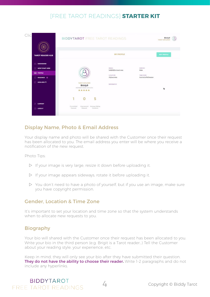| Clic<br><b>CELEBRA</b>  |                                                                                                                                | <b>BIDDYTAROT FREE TAROT READINGS</b> |                        |              |  |  |  |  |  |  |  |  |
|-------------------------|--------------------------------------------------------------------------------------------------------------------------------|---------------------------------------|------------------------|--------------|--|--|--|--|--|--|--|--|
| <b>TAROT READER HUB</b> |                                                                                                                                | <b>MY PROFILE</b>                     |                        | EDIT PROFILE |  |  |  |  |  |  |  |  |
| <b>DASHBOARD</b>        |                                                                                                                                |                                       |                        |              |  |  |  |  |  |  |  |  |
| <b>NEW? START HERE</b>  | LISTERA                                                                                                                        | EMAIL:<br>biddy9@hotmail.com          | <b>GENDER:</b><br>Male |              |  |  |  |  |  |  |  |  |
| <b>TEL PROFILE</b>      |                                                                                                                                | LOCATION:                             | TIME ZONE              |              |  |  |  |  |  |  |  |  |
| <b>READINGS 1</b>       | $\mathcal{C}_{\mathcal{X},\mathcal{Y},\mathcal{Y}}=\mathcal{C}_{\mathcal{X},\mathcal{Y}}\mathcal{C}_{\mathcal{Y},\mathcal{Y}}$ | Afghanistan                           | Australia/Melbourne    |              |  |  |  |  |  |  |  |  |
| <b>AVAILABILITY</b>     | <b>TAROT EXPLORER</b><br>Biddy9<br>MEMBER SINCE JUN 2016<br>*****                                                              | BIOGRAPHY                             |                        | ٠            |  |  |  |  |  |  |  |  |
|                         | ٦<br>5<br>O                                                                                                                    |                                       |                        |              |  |  |  |  |  |  |  |  |
| SUPPORT                 |                                                                                                                                |                                       |                        |              |  |  |  |  |  |  |  |  |
| $\equiv$ LOCOUT         | Unanswered Average Rating<br>Completed<br>Request<br>Received<br>Request                                                       |                                       |                        |              |  |  |  |  |  |  |  |  |

### Display Name, Photo & Email Address

Your display name and photo will be shared with the Customer once their request has been allocated to you. The email address you enter will be where you receive a notification of the new request.

Photo Tips:

- $\triangleright$  If your image is very large, resize it down before uploading it.
- $\triangleright$  If your image appears sideways, rotate it before uploading it.
- $\triangleright$  You don't need to have a photo of yourself, but if you use an image, make sure you have copyright permission.

### Gender, Location & Time Zone

It's important to set your location and time zone so that the system understands when to allocate new requests to you.

### **Biography**

Your bio will shared with the Customer once their request has been allocated to you. Write your bio in the third person (e.g. Brigit is a Tarot reader…) Tell the Customer about your reading style, your experience, etc.

Keep in mind, they will only see your bio after they have submitted their question. They do not have the ability to choose their reader**.** Write 1-2 paragraphs and do not include any hyperlinks.

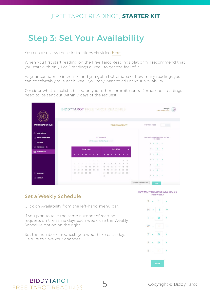### <span id="page-5-0"></span>Step 3: Set Your Availability

You can also view these instructions via video [here](http://community.biddytarot.com/ftr-getting-started/).

When you first start reading on the Free Tarot Readings platform, I recommend that you start with only 1 or 2 readings a week to get the feel of it.

As your confidence increases and you get a better idea of how many readings you can comfortably take each week, you may want to adjust your availability.

Consider what is realistic based on your other commitments. Remember, readings need to be sent out within 7 days of the request.

| <b>CULTIFIC</b>          | <b>BIDDYTAROT FREE TAROT READINGS</b> |            |                |      |                        |    |       |     |                             |       |       |                   |    |          |                          |                      |  |                                                                          | <b>Biddy9</b><br><b>TAROT EXPLORER</b> |  |
|--------------------------|---------------------------------------|------------|----------------|------|------------------------|----|-------|-----|-----------------------------|-------|-------|-------------------|----|----------|--------------------------|----------------------|--|--------------------------------------------------------------------------|----------------------------------------|--|
| <b>TAROT READER HUB</b>  |                                       |            |                |      |                        |    |       |     |                             |       |       | YOUR AVAILABILITY |    |          |                          | <b>VACATION MODE</b> |  |                                                                          |                                        |  |
| <b>DASHBOARD</b>         |                                       |            |                |      |                        |    |       |     |                             |       |       |                   |    |          |                          |                      |  |                                                                          |                                        |  |
| NEW? START HERE<br>B.    |                                       |            |                |      |                        |    |       |     | <b>MY TIME ZONE</b>         |       |       |                   |    |          |                          |                      |  | PER WEEK?                                                                | HOW MANY READINGS WILL YOU DO          |  |
| <b>PROFILE</b>           |                                       |            |                |      |                        |    |       |     | Malbourne - 18-51 (6-51 pm) |       | $-31$ |                   |    |          |                          |                      |  | $\begin{array}{ccccc} \mathbf{S} & \ast & \mathbf{O} & \ast \end{array}$ |                                        |  |
| Ø<br><b>READINGS III</b> |                                       |            |                |      |                        |    |       |     |                             |       |       |                   |    |          |                          |                      |  |                                                                          |                                        |  |
| ED AWALABIUTY            |                                       |            |                |      | <b>June 2016</b>       |    |       |     |                             |       |       | <b>July 2016</b>  |    |          | $\overline{\phantom{0}}$ |                      |  | $M - 0 +$                                                                |                                        |  |
|                          |                                       |            |                |      |                        |    |       | - 5 |                             |       |       |                   |    |          | ж.                       |                      |  | $T = 0 +$                                                                |                                        |  |
|                          |                                       |            |                |      | $1 - 3 - 1 - 1$        |    |       |     |                             |       |       |                   |    | $1 \t2$  |                          |                      |  | $W - 0 +$                                                                |                                        |  |
|                          |                                       | <b>SIL</b> |                |      | The State of Contracts |    |       |     | 五、五                         |       | $-5$  | $\sim$            |    |          | $\overline{9}$           |                      |  | $T = 5 +$                                                                |                                        |  |
|                          |                                       | 12.1       | <b>TS</b>      | 7.81 | 75                     | 16 | 17 18 |     |                             | 10 11 | 12    | 13                | 74 | 75       | 76                       |                      |  |                                                                          |                                        |  |
|                          |                                       | 79         | $20 -$         |      | 21 22 23 24 25         |    |       |     |                             | 17 18 | 19    | 20 <sub>1</sub>   |    | 21 22 23 |                          |                      |  | $F - 0 +$                                                                |                                        |  |
| <b>SUPPORT</b>           |                                       |            | 26 27 28 29 30 |      |                        |    |       |     | 31                          |       |       |                   |    |          |                          |                      |  | $S - 0 +$                                                                |                                        |  |
| ⊛<br>LOGOUT              |                                       |            |                |      |                        |    |       |     |                             |       |       |                   |    |          |                          |                      |  |                                                                          |                                        |  |
|                          |                                       |            |                |      |                        |    |       |     |                             |       |       |                   |    |          |                          | System Preferences   |  | SAVE                                                                     |                                        |  |

#### Set a Weekly Schedule

Click on Availability from the left-hand menu bar.

If you plan to take the same number of reading requests on the same days each week, use the Weekly Schedule option on the right.

Set the number of requests you would like each day. Be sure to Save your changes.

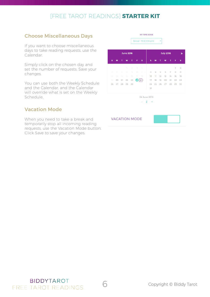### Choose Miscellaneous Days

If you want to choose miscellaneous days to take reading requests, use the Calendar.

Simply click on the chosen day and set the number of requests. Save your changes.

You can use both the Weekly Schedule and the Calendar, and the Calendar will override what is set on the Weekly Schedule.

### Vacation Mode

When you need to take a break and temporarily stop all incoming reading requests, use the Vacation Mode button. Click Save to save your changes.



MY TIME ZONE Denver - 15:32 (3:32 pm)



#### **VACATION MODE**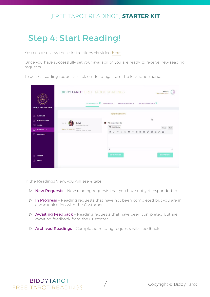### <span id="page-7-0"></span>Step 4: Start Reading!

You can also view these instructions via video [here](http://community.biddytarot.com/ftr-getting-started/).

Once you have successfully set your availability, you are ready to receive new reading requests!

To access reading requests, click on Readings from the left-hand menu.

| <b>ALLEY</b>            | <b>Biddy9</b><br><b>BIDDYTAROT FREE TAROT READINGS</b><br><b>TAROT EXPLORER</b><br>NEW REQUESTS <b>O</b> IN PROGRESS<br>ARCHIVED READINGS<br>AWAITING FEEDBACK |
|-------------------------|----------------------------------------------------------------------------------------------------------------------------------------------------------------|
| <b>TAROT READER HUB</b> | <b>READING STATUS</b>                                                                                                                                          |
| DASHBOARD<br>ďb         |                                                                                                                                                                |
| NEW? START HERE         | k<br>Tell me about my life<br>Brigit<br>e.<br>3un 16                                                                                                           |
| <b>PROFILE</b>          | American Samoa<br>91 Add Media<br><b>Virgical</b>                                                                                                              |
| <b>7 READINGS 2</b>     | Female<br>Due In 23-June-16<br>Born In June 25, 1998                                                                                                           |
| <b>AVAILABILITY</b>     | D.                                                                                                                                                             |
| <b>SUPPORT</b>          | <b>SEND MESSAGE</b><br><b>SEND READING</b>                                                                                                                     |
| LOCOUT                  |                                                                                                                                                                |

In the Readings View, you will see 4 tabs:

- $\triangleright$  **New Requests** New reading requests that you have not yet responded to
- $\triangleright$  In Progress Reading requests that have not been completed but you are in communication with the Customer
- $\triangleright$  **Awaiting Feedback** Reading requests that have been completed but are awaiting feedback from the Customer
- $\triangleright$  **Archived Readings** Completed reading requests with feedback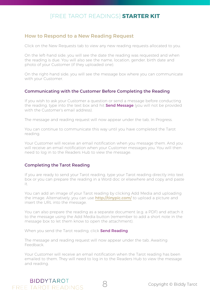#### How to Respond to a New Reading Request

Click on the New Requests tab to view any new reading requests allocated to you.

On the left-hand side, you will see the date the reading was requested and when the reading is due. You will also see the name, location, gender, birth date and photo of your Customer (if they uploaded one).

On the right-hand side, you will see the message box where you can communicate with your Customer.

#### Communicating with the Customer Before Completing the Reading

If you wish to ask your Customer a question or send a message before conducting the reading, type into the text box and hit **Send Message** (you will not be provided with the Customer's email address).

The message and reading request will now appear under the tab, In Progress.

You can continue to communicate this way until you have completed the Tarot reading.

Your Customer will receive an email notification when you message them. And you will receive an email notification when your Customer messages you. You will then need to log in to the Readers Hub to view the message.

#### Completing the Tarot Reading

If you are ready to send your Tarot reading, type your Tarot reading directly into text box or you can prepare the reading in a Word doc or elsewhere and copy and paste it.

You can add an image of your Tarot reading by clicking Add Media and uploading the image. Alternatively, you can use **<http://tinypic.com/>** to upload a picture and insert the URL into the message.

You can also prepare the reading as a separate document (e.g. a PDF) and attach it to the message using the Add Media button (remember to add a short note in the message box to let them know to open the attachment).

When you send the Tarot reading, click **Send Reading**.

The message and reading request will now appear under the tab, Awaiting Feedback.

Your Customer will receive an email notification when the Tarot reading has been emailed to them. They will need to log in to the Readers Hub to view the message and reading.



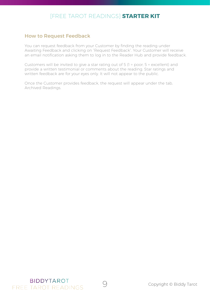#### How to Request Feedback

You can request feedback from your Customer by finding the reading under Awaiting Feedback and clicking on "Request Feedback". Your Customer will receive an email notification asking them to log in to the Reader Hub and provide feedback.

Customers will be invited to give a star rating out of 5 (1 = poor; 5 = excellent) and provide a written testimonial or comments about the reading. Star ratings and written feedback are for your eyes only. It will not appear to the public.

Once the Customer provides feedback, the request will appear under the tab, Archived Readings.

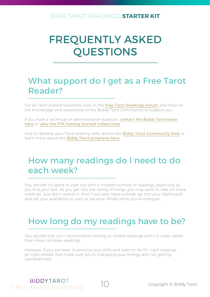## <span id="page-10-0"></span>FREQUENTLY ASKED QUESTIONS

### What support do I get as a Free Tarot Reader?

For all Tarot-related questions, post in the [Free Tarot Readings Forum](http://community.biddytarot.com/forums/forum/free-tarot-readings/) and draw on the knowledge and experience of the Biddy Tarot Community to support you.

If you have a technical or administrative question, **contact the Biddy Tarot team** [here](http://community.biddytarot.com/help/) or [view the FTR Getting Started Videos here](http://community.biddytarot.com/ftr-getting-started/).

And to develop your Tarot reading skills, access the **[Biddy Tarot Community here](http://community.biddytarot.com/)** or learn more about the **[Biddy Tarot programs here](http://www.biddytarot.com/courses/).** 

### How many readings do I need to do each week?

You decide! It's good to start out with a modest number of readings, especially as you find your feet. As you get into the swing of things, you may want to take on more readings. Just don't overdo it. And if you ever need a break, go into your dashboard and set your availability to zero or Vacation Mode while you re-energise.

### How long do my readings have to be?

You decide that too! I recommend sticking to simple readings with 1-5 cards, rather than more complex readings.

However, if you are keen to practice your skills and want to do 10+ card readings, go right ahead. Just make sure you're managing your energy and not getting overwhelmed.



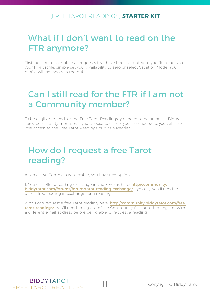### <span id="page-11-0"></span>What if I don't want to read on the FTR anymore?

First, be sure to complete all requests that have been allocated to you. To deactivate your FTR profile, simple set your Availability to zero or select Vacation Mode. Your profile will not show to the public.

### Can I still read for the FTR if I am not a Community member?

To be eligible to read for the Free Tarot Readings, you need to be an active Biddy Tarot Community member. If you choose to cancel your membership, you will also lose access to the Free Tarot Readings hub as a Reader.

### How do I request a free Tarot reading?

As an active Community member, you have two options:

1. You can offer a reading exchange in the Forums here: **[http://community.](http://community.biddytarot.com/forums/forum/tarot-reading-exchange/)** biddytarot.com/forums/forum/tarot-reading-exchange<sup>7</sup>. Typically, you'll need to offer a free reading in exchange for a reading.

2. You can request a free Tarot reading here: [http://community.biddytarot.com/free](http://community.biddytarot.com/free-tarot-readings/)[tarot-readings/](http://community.biddytarot.com/free-tarot-readings/). You'll need to log out of the Community first, and then register with a different email address before being able to request a reading.

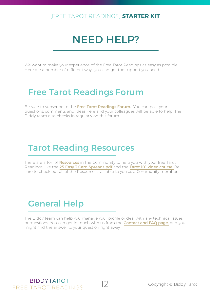## NEED HELP?

<span id="page-12-0"></span>We want to make your experience of the Free Tarot Readings as easy as possible. Here are a number of different ways you can get the support you need:

### Free Tarot Readings Forum

Be sure to subscribe to the [Free Tarot Readings Forum](http://community.biddytarot.com/forums/forum/free-tarot-readings/). You can post your questions, comments and ideas here and your colleagues will be able to help! The Biddy team also checks in regularly on this forum.

### Tarot Reading Resources

There are a ton of [Resources](http://community.biddytarot.com/resources/) in the Community to help you with your free Tarot Readings, like the [25 Easy 3 Card Spreads pdf](http://community.biddytarot.com/resources/downloads/3055/) and the [Tarot 101 video course.](http://community.biddytarot.com/tarot-101/) Be sure to check out all of the Resources available to you as a Community member.

### General Help

The Biddy team can help you manage your profile or deal with any technical issues or questions. You can get in touch with us from the **[Contact and FAQ page](http://community.biddytarot.com/help/)**, and you might find the answer to your question right away.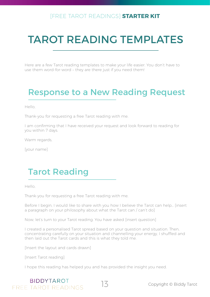## <span id="page-13-0"></span>TAROT READING TEMPLATES

Here are a few Tarot reading templates to make your life easier. You don't have to use them word-for-word – they are there just if you need them!

### Response to a New Reading Request

Hello,

Thank-you for requesting a free Tarot reading with me.

I am confirming that I have received your request and look forward to reading for you within 7 days.

Warm regards,

[your name]

### Tarot Reading

Hello,

Thank-you for requesting a free Tarot reading with me.

Before I begin, I would like to share with you how I believe the Tarot can help… [insert a paragraph on your philosophy about what the Tarot can / can't do]

Now, let's turn to your Tarot reading. You have asked [insert question]

I created a personalised Tarot spread based on your question and situation. Then, concentrating carefully on your situation and channelling your energy, I shuffled and then laid out the Tarot cards and this is what they told me.

[Insert the layout and cards drawn]

[Insert Tarot reading]

I hope this reading has helped you and has provided the insight you need.

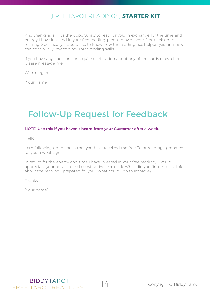<span id="page-14-0"></span>And thanks again for the opportunity to read for you. In exchange for the time and energy I have invested in your free reading, please provide your feedback on the reading. Specifically, I would like to know how the reading has helped you and how I can continually improve my Tarot reading skills.

If you have any questions or require clarification about any of the cards drawn here, please message me.

Warm regards.

[Your name]

### Follow-Up Request for Feedback

#### NOTE: Use this if you haven't heard from your Customer after a week.

Hello,

I am following up to check that you have received the free Tarot reading I prepared for you a week ago.

In return for the energy and time I have invested in your free reading, I would appreciate your detailed and constructive feedback. What did you find most helpful about the reading I prepared for you? What could I do to improve?

Thanks,

[Your name]

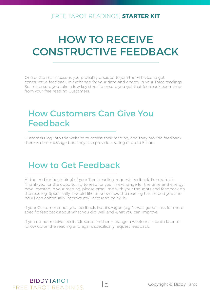## <span id="page-15-0"></span>HOW TO RECEIVE CONSTRUCTIVE FEEDBACK

One of the main reasons you probably decided to join the FTR was to get constructive feedback in exchange for your time and energy in your Tarot readings. So, make sure you take a few key steps to ensure you get that feedback each time from your free reading Customers.

### How Customers Can Give You Feedback

Customers log into the website to access their reading, and they provide feedback there via the message box. They also provide a rating of up to 5 stars.

### How to Get Feedback

At the end (or beginning) of your Tarot reading, request feedback. For example, "Thank-you for the opportunity to read for you. In exchange for the time and energy I have invested in your reading, please email me with your thoughts and feedback on the reading. Specifically, I would like to know how the reading has helped you and how I can continually improve my Tarot reading skills."

If your Customer sends you feedback, but it's vague (e.g. "It was good"), ask for more specific feedback about what you did well and what you can improve.

If you do not receive feedback, send another message a week or a month later to follow up on the reading and again, specifically request feedback.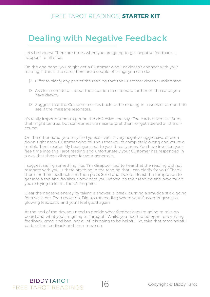### <span id="page-16-0"></span>Dealing with Negative Feedback

Let's be honest. There are times when you are going to get negative feedback. It happens to all of us.

On the one hand, you might get a Customer who just doesn't connect with your reading. If this is the case, there are a couple of things you can do:

- $\triangleright$  Offer to clarify any part of the reading that the Customer doesn't understand.
- $\triangleright$  Ask for more detail about the situation to elaborate further on the cards you have drawn.
- $\triangleright$  Suggest that the Customer comes back to the reading in a week or a month to see if the message resonates.

It's really important not to get on the defensive and say, "The cards never lie!!" Sure, that might be true, but sometimes we misinterpret them or get steered a little offcourse.

On the other hand, you may find yourself with a very negative, aggressive, or even down-right nasty Customer who tells you that you're completely wrong and you're a terrible Tarot reader. My heart goes out to you! It really does. You have invested your free time into this Tarot reading and unfortunately your Customer has responded in a way that shows disrespect for your generosity.

I suggest saying something like, "I'm disappointed to hear that the reading did not resonate with you. Is there anything in the reading that I can clarify for you?" Thank them for their feedback and then press Send and Delete. Resist the temptation to get into a too-and-fro about how hard you worked on their reading and how much you're trying to learn. There's no point.

Clear the negative energy by taking a shower, a break, burning a smudge stick, going for a walk, etc. Then move on. Dig up the reading where your Customer gave you glowing feedback, and you'll feel good again.

At the end of the day, you need to decide what feedback you're going to take on board and what you are going to shrug off. Whilst you need to be open to receiving feedback, good and bad, not all of it is going to be helpful. So, take that most helpful parts of the feedback and then move on.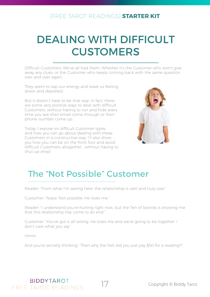## <span id="page-17-0"></span>DEALING WITH DIFFICULT **CUSTOMERS**

Difficult Customers. We've all had them. Whether it's the Customer who won't give away any clues, or the Customer who keeps coming back with the same question over and over again.

They seem to sap our energy and leave us feeling down and depleted.

But it doesn't have to be that way. In fact, there are some very positive ways to deal with difficult Customers, without having to run and hide every time you see their email come through or their phone number come up.

Today, I expose six difficult Customer types and how you can go about dealing with these Customers in a constructive way. I'll also show you how you can be on the front foot and avoid difficult Customers altogether… without having to shut up shop!



### The "Not Possible" Customer

Reader: "From what I'm seeing here, the relationship is well and truly over."

Customer: "Nope. Not possible. He loves me."

Reader: "I understand you're hurting right now, but the Ten of Swords is showing me that this relationship has come to an end."

Customer: "You've got it all wrong. He loves me and we're going to be together. I don't care what you say."

Hmm.

And you're secretly thinking, "Then why the hell did you just pay \$50 for a reading?!"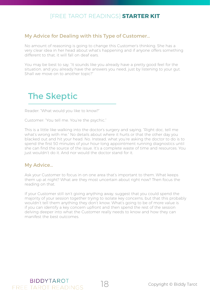### <span id="page-18-0"></span>My Advice for Dealing with this Type of Customer…

No amount of reasoning is going to change this Customer's thinking. She has a very clear idea in her head about what's happening and if anyone offers something different to that, it will fall on deaf ears.

You may be best to say, "It sounds like you already have a pretty good feel for the situation, and you already have the answers you need, just by listening to your gut. Shall we move on to another topic?"

### The Skeptic

Reader: "What would you like to know?"

Customer: "You tell me. You're the psychic."

This is a little like walking into the doctor's surgery and saying, "Right doc, tell me what's wrong with me." No details about where it hurts or that the other day you blacked out and hit your head. No. Instead, what you're asking the doctor to do is to spend the first 50 minutes of your hour-long appointment running diagnostics until she can find the source of the issue. It's a complete waste of time and resources. You just wouldn't do it. And nor would the doctor stand for it.

#### My Advice…

Ask your Customer to focus in on one area that's important to them. What keeps them up at night? What are they most uncertain about right now? Then focus the reading on that.

If your Customer still isn't giving anything away, suggest that you could spend the majority of your session together trying to isolate key concerns, but that this probably wouldn't tell them anything they don't know. What's going to be of more value is if you can identify a key concern upfront and then spend the rest of the session delving deeper into what the Customer really needs to know and how they can manifest the best outcomes.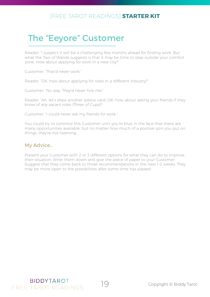### <span id="page-19-0"></span>The "Eeyore" Customer

Reader: "I suspect it will be a challenging few months ahead for finding work. But what the Two of Wands suggests is that it may be time to step outside your comfort zone. How about applying for work in a new city?"

Customer: "That'd never work."

Reader: "OK, how about applying for roles in a different industry?"

Customer: "No way. They'd never hire me."

Reader: "Ah, let's draw another advice card. OK, how about asking your friends if they know of any vacant roles (Three of Cups)?

Customer: "I could never ask my friends for work."

You could try to convince this Customer until you're blue in the face that there are many opportunities available, but no matter how much of a positive spin you put on things, they're not listening.

#### My Advice…

Present your Customer with 2 or 3 different options for what they can do to improve their situation. Write them down and give the piece of paper to your Customer. Suggest that they come back to those recommendations in the next 1-2 weeks. They may be more open to the possibilities after some time has passed.

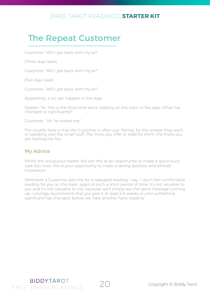### <span id="page-20-0"></span>The Repeat Customer

Customer: "Will I get back with my ex?"

{Three days later}

Customer: "Will I get back with my ex?"

{Two days later}

Customer: "Will I get back with my ex?"

Apparently, a lot can happen in five days.

Reader: "So, this is the third time we're reading on this topic in five days. What has changed so significantly?"

Customer: "Uh, he texted me."

The trouble here is that the Customer is often just 'fishing' for the answer they want, or sweating over the small stuff. The more you offer to read for them, the more you are fuelling the fire.

#### My Advice

Whilst the scrupulous reader will see this as an opportunity to make a quick buck (sad, but true), this is your opportunity to make a lasting (positive and ethical) impression.

Whenever a Customer asks me for a repeated reading, I say, "I don't feel comfortable reading for you on this topic again in such a short period of time. It's not valuable to you and it's not valuable to me, because we'll simply see the same message coming up. I strongly recommend that you give it at least 4-6 weeks or until something significant has changed, before we have another Tarot reading."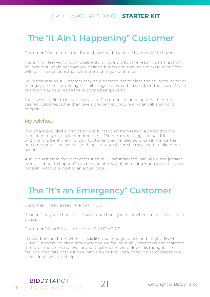### <span id="page-21-0"></span>The "It Ain't Happening" Customer

Customer: "You told me that I would have sold my house by now. Well, I haven't."

This is why I feel very uncomfortable doing purely predictive readings. I am a strong believer that we do not have pre-defined futures and that we can exercise our free will to make decisions that will, in turn, change our futures.

So, in this case, your Customer may have decided not to place the ad in the paper or to engage the real estate agent – all things that would have helped the cause. A lack of action may have led to the outcome being altered.

That's why I prefer to focus on what the Customer can do to achieve their most desired outcome, rather than give a pre-defined picture of what will and won't happen.

#### My Advice…

If you have provided a prediction and it hasn't yet manifested, suggest that the prediction may have a longer timeframe. Oftentimes, readings are 'valid' for 6-12 months. Gently remind your Customer that her decisions can influence the outcomes and if she would like things to move faster, she may need to take more action.

Also, a question to the Tarot cards such as, "What indicators will I see when [desired event] is about to happen?" can be a helpful way of predicting when something will happen, without tying it to an actual date.

### The "It's an Emergency" Customer

Customer: "I need a reading RIGHT NOW."

Reader: "I only take bookings. How about I book you in for when I'm next available in 3 days."

Customer: "What?! You can't see me RIGHT NOW?"

I know there are times when it feels like you need guidance and insight RIGHT NOW. But these are often times when you're feeling highly emotional and scattered. It may be more constructive for your Customer to write down his thoughts and feelings, meditate or talk it over with a friend first. Then, consult a Tarot reader or a professional who can help.



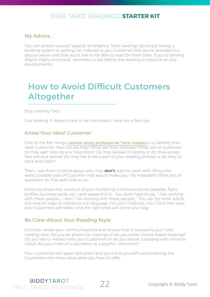#### <span id="page-22-0"></span>My Advice…

You can protect yourself against 'emergency' Tarot readings by simply having a booking system or waiting list. Indicate to your Customer that you're available in x days or weeks and that you'd love to be able to read for them then. If you're sensing they're highly emotional, reconnect a day before the reading to check in on any developments.

### How to Avoid Difficult Customers Altogether

Stop reading Tarot.

Just kidding. It doesn't have to be that drastic. Here are a few tips…

#### Know Your Ideal Customer

One of the first things [I advise newly professional Tarot readers](http://www.biddytarot.com/tarot-business-coaching/) is to identify their ideal Customer. How old are they? What are their interests? What sort of questions do they ask? How do you help them? Do they believe in destiny or do they accept free will and karma? Do they like to be a part of your reading process or do they sit back and listen?

Then, I ask them to think about who they **don't** want to work with. Who's the worst possible type of Customer that would make your life miserable? What sort of questions do they ask? And so on.

Once you know this, revisit all of your marketing communications (website, flyers, profiles, business cards, etc.) and weave this in. You don't have to say, "I like working with these people… I don't like working with these people…" You can be more subtle, but look for ways to introduce the language into your materials. You'll find that soon your Customers self-select and the right ones will come your way.

### Be Clear About Your Reading Style

Similarly, review your communications and ensure that it represents your Tarot reading style. Do you do predictive readings or do you prefer choice-based readings? Do you like to interact with your Customers or do you deliver a reading with minimal input? Are you more of a counsellor or a psychic channeller?

Your Customers will again self-select and you'll find yourself surrounded by the Customers who most value what you have to offer.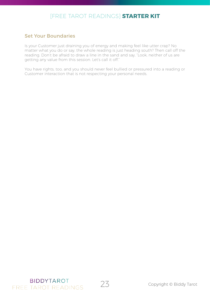#### Set Your Boundaries

Is your Customer just draining you of energy and making feel like utter crap? No matter what you do or say, the whole reading is just heading south? Then call off the reading. Don't be afraid to draw a line in the sand and say, "Look, neither of us are getting any value from this session. Let's call it off."

You have rights, too, and you should never feel bullied or pressured into a reading or Customer interaction that is not respecting your personal needs.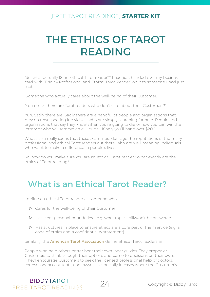## <span id="page-24-0"></span>THE ETHICS OF TAROT READING

"So, what actually IS an 'ethical Tarot reader'?" I had just handed over my business card with "Brigit – [Professional and Ethical Tarot Reader"](http://www.biddytarot.com/tarotreading/) on it to someone I had just met.

"Someone who actually cares about the well-being of their Customer."

"You mean there are Tarot readers who don't care about their Customers?"

Yuh. Sadly there are. Sadly there are a handful of people and organisations that prey on unsuspecting individuals who are simply searching for help. People and organisations that say they know when you're going to die or how you can win the lottery or who will remove an evil curse… if only you'll hand over \$200.

What's also really sad is that these scammers damage the reputations of the many professional and ethical Tarot readers out there, who are well-meaning individuals who want to make a difference in people's lives.

So, how do you make sure you are an ethical Tarot reader? What exactly are the ethics of Tarot reading?

### What is an Ethical Tarot Reader?

I define an ethical Tarot reader as someone who:

- $\triangleright$  Cares for the well-being of their Customer
- $\triangleright$  Has clear personal boundaries e.g. what topics will/won't be answered
- $\triangleright$  Has structures in place to ensure ethics are a core part of their service (e.g. a code of ethics and a confidentiality statement)

Similarly, the **[American Tarot Association](http://www.ata-tarot.com/images/members/ethicaltarot4.pdf)** define ethical Tarot readers as:

People who help others better hear their own inner guides. They empower Customers to think through their options and come to decisions on their own… [They] encourage Customers to seek the licensed professional help of doctors, counsellors, accountants, and lawyers – especially in cases where the Customer's



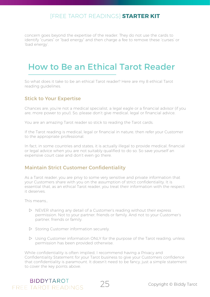<span id="page-25-0"></span>concern goes beyond the expertise of the reader. They do not use the cards to identify "curses" or "bad energy" and then charge a fee to remove these 'curses' or 'bad energy'.

### How to Be an Ethical Tarot Reader

So what does it take to be an ethical Tarot reader? Here are my 8 ethical Tarot reading guidelines.

#### Stick to Your Expertise

Chances are, you're not a medical specialist, a legal eagle or a financial advisor (if you are, more power to you!). So, please don't give medical, legal or financial advice.

You are an amazing Tarot reader so stick to reading the Tarot cards.

If the Tarot reading is medical, legal or financial in nature, then refer your Customer to the appropriate professional.

In fact, in some countries and states, it is actually illegal to provide medical, financial or legal advice when you are not suitably qualified to do so. So save yourself an expensive court case and don't even go there.

### Maintain Strict Customer Confidentiality

As a Tarot reader, you are privy to some very sensitive and private information that your Customers share with you on the assumption of strict confidentiality. It is essential that, as an ethical Tarot reader, you treat their information with the respect it deserves.

This means…

- $\triangleright$  NEVER sharing any detail of a Customer's reading without their express permission. Not to your partner, friends or family. And not to your Customer's partner, friends or family.
- $\triangleright$  Storing Customer information securely.
- $\triangleright$  Using Customer information ONLY for the purpose of the Tarot reading, unless permission has been provided otherwise.

While confidentiality is often implied, I recommend having a Privacy and Confidentiality Statement for your Tarot business to give your Customers confidence that confidentiality is paramount. It doesn't need to be fancy, just a simple statement to cover the key points above.



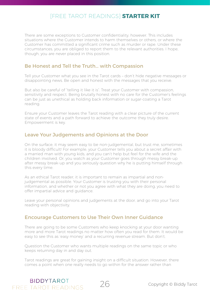There are some exceptions to Customer confidentiality, however. This includes situations where the Customer intends to harm themselves or others, or where the Customer has committed a significant crime such as murder or rape. Under these circumstances, you are obliged to report them to the relevant authorities. I hope, though, you are never placed in this position.

#### Be Honest and Tell the Truth… with Compassion

Tell your Customer what you see in the Tarot cards – don't hide negative messages or disappointing news. Be open and honest with the messages that you receive.

But also be careful of "telling it like it is". Treat your Customer with compassion, sensitivity and respect. Being brutally honest with no care for the Customer's feelings can be just as unethical as holding back information or sugar-coating a Tarot reading.

Ensure your Customer leaves the Tarot reading with a clear picture of the current state of events and a path forward to achieve the outcome they truly desire. Empowerment is key.

### Leave Your Judgements and Opinions at the Door

On the surface, it may seem easy to be non-judgemental, but trust me, sometimes it is bloody difficult! For example, your Customer tells you about a secret affair with a married man with young kids, and you can't help but feel for the wife and the children involved. Or, you watch as your Customer goes through messy break-up after messy break-up and you seriously question why he is putting himself through this every time.

As an ethical Tarot reader, it is important to remain as impartial and nonjudgemental as possible. Your Customer is trusting you with their personal information, and whether or not you agree with what they are doing, you need to offer impartial advice and guidance.

Leave your personal opinions and judgements at the door, and go into your Tarot reading with objectivity.

#### Encourage Customers to Use Their Own Inner Guidance

There are going to be some Customers who keep knocking at your door wanting more and more Tarot readings no matter how often you read for them. It would be easy to see this as 'easy money' and a recurring revenue stream. But don't.

Question the Customer who wants multiple readings on the same topic or who keeps returning day in and day out.

Tarot readings are great for gaining insight on a difficult situation. However, there comes a point when one really needs to go within for the answer rather than



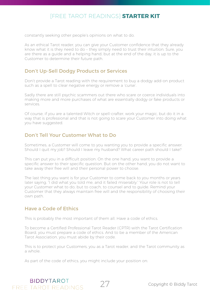constantly seeking other people's opinions on what to do.

As an ethical Tarot reader, you can give your Customer confidence that they already know what it is they need to do – they simply need to trust their intuition. Sure, you are there as a guide and a helping hand, but at the end of the day, it is up to the Customer to determine their future path.

#### Don't Up-Sell Dodgy Products or Services

Don't provide a Tarot reading with the requirement to buy a dodgy add-on product such as a spell to clear negative energy or remove a 'curse'.

Sadly there are still psychic scammers out there who scare or coerce individuals into making more and more purchases of what are essentially dodgy or fake products or services.

Of course, if you are a talented Witch or spell-crafter, work your magic, but do it in a way that is professional and that is not going to scare your Customer into doing what you have suggested.

#### Don't Tell Your Customer What to Do

Sometimes, a Customer will come to you wanting you to provide a specific answer. Should I quit my job? Should I leave my husband? What career path should I take?

This can put you in a difficult position. On the one hand, you want to provide a specific answer to their specific question. But on the other hand, you do not want to take away their free will and their personal power to choose.

The last thing you want is for your Customer to come back to you months or years later saying, "I did what you told me, and it failed miserably." Your role is not to tell your Customer what to do, but to coach, to counsel and to guide. Remind your Customer that they always maintain free will and the responsibility of choosing their own path.

#### Have a Code of Ethics

This is probably the most important of them all. Have a code of ethics.

To become a Certified Professional Tarot Reader (CPTR) with the Tarot Certification Board, you must prepare a code of ethics. And to be a member of the American Tarot Association, you must abide by their code.

This is to protect your Customers, you as a Tarot reader, and the Tarot community as a whole.

As part of the code of ethics, you might include your position on: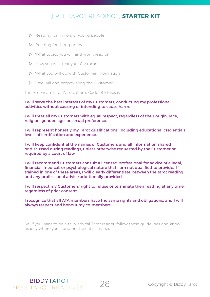- $\triangleright$  Reading for minors or young people
- $\triangleright$  Reading for third parties
- $\triangleright$  What topics you will and won't read on
- $\triangleright$  How you will treat your Customers
- $\triangleright$  What you will do with Customer information
- $\triangleright$  Free will and empowering the Customer

The American Tarot Association's Code of Ethics is:

#### I will serve the best interests of my Customers, conducting my professional activities without causing or intending to cause harm.

I will treat all my Customers with equal respect, regardless of their origin, race, religion, gender, age, or sexual preference.

I will represent honestly my Tarot qualifications, including educational credentials, levels of certification and experience.

I will keep confidential the names of Customers and all information shared or discussed during readings, unless otherwise requested by the Customer or required by a court of law.

I will recommend Customers consult a licensed professional for advice of a legal, financial, medical, or psychological nature that I am not qualified to provide. If trained in one of these areas, I will clearly differentiate between the tarot reading and any professional advice additionally provided.

I will respect my Customers' right to refuse or terminate their reading at any time, regardless of prior consent.

I recognize that all ATA members have the same rights and obligations, and I will always respect and honour my co-members.

So, if you want to be a truly ethical Tarot reader, follow these guidelines and know exactly where you stand on the critical issues.



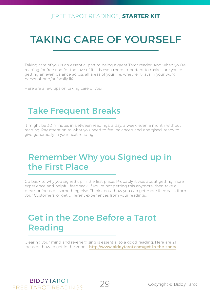## <span id="page-29-0"></span>TAKING CARE OF YOURSELF

Taking care of you is an essential part to being a great Tarot reader. And when you're reading for free and for the love of it, it is even more important to make sure you're getting an even balance across all areas of your life, whether that's in your work, personal, and/or family life.

Here are a few tips on taking care of you:

**BIDDYTAROT** FREE TAROT READINGS

### Take Frequent Breaks

It might be 30 minutes in between readings, a day, a week, even a month without reading. Pay attention to what you need to feel balanced and energised, ready to give generously in your next reading.

### Remember Why you Signed up in the First Place

Go back to why you signed up in the first place. Probably it was about getting more experience and helpful feedback. If you're not getting this anymore, then take a break or focus on something else. Think about how you can get more feedback from your Customers, or get different experiences from your readings.

### Get in the Zone Before a Tarot Reading

Clearing your mind and re-energising is essential to a good reading. Here are 21 ideas on how to get in the zone - <http://www.biddytarot.com/get-in-the-zone/>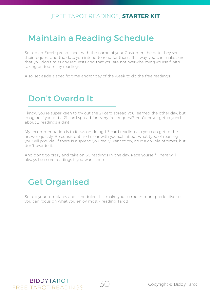### <span id="page-30-0"></span>Maintain a Reading Schedule

Set up an Excel spread sheet with the name of your Customer, the date they sent their request and the date you intend to read for them. This way, you can make sure that you don't miss any requests and that you are not overwhelming yourself with taking on too many readings.

Also, set aside a specific time and/or day of the week to do the free readings.



I know you're super keen to try out the 21 card spread you learned the other day, but imagine if you did a 21 card spread for every free request?! You'd never get beyond about 2 readings a day!

My recommendation is to focus on doing 1-3 card readings so you can get to the answer quickly. Be consistent and clear with yourself about what type of reading you will provide. If there is a spread you really want to try, do it a couple of times, but don't overdo it.

And don't go crazy and take on 50 readings in one day. Pace yourself. There will always be more readings if you want them!

### Get Organised

Set up your templates and schedulers. It'll make you so much more productive so you can focus on what you enjoy most – reading Tarot!





 $\mathcal{Z}(\hat{a})$  Copyright © Biddy Tarot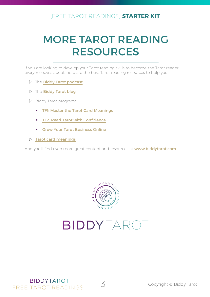## <span id="page-31-0"></span>MORE TAROT READING RESOURCES

If you are looking to develop your Tarot reading skills to become the Tarot reader everyone raves about, here are the best Tarot reading resources to help you:

- $\triangleright$  The [Biddy Tarot podcast](https://www.biddytarot.com/category/podcast/)
- $\triangleright$  The [Biddy Tarot blog](https://www.biddytarot.com/blog/)
- $\triangleright$  Biddy Tarot programs:
	- **F** [TF1: Master the Tarot Card Meanings](https://www.biddytarot.com/courses/tf1/)
	- **F** [TF2: Read Tarot with Confidence](https://www.biddytarot.com/courses/tf2/)
	- [Grow Your Tarot Business Online](http://www.tarotfoundations.com/courses/grow-your-tarot-business-online/)
- $\triangleright$  [Tarot card meanings](https://www.biddytarot.com/tarot-card-meanings/)

And you'll find even more great content and resources at [www.biddytarot.com](http://www.biddytarot.com)



## BIDDYTAROT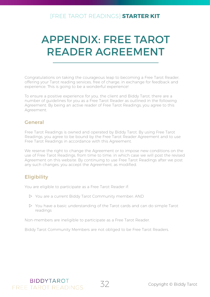## <span id="page-32-0"></span>APPENDIX: FREE TAROT READER AGREEMENT

Congratulations on taking the courageous leap to becoming a Free Tarot Reader, offering your Tarot reading services, free of charge, in exchange for feedback and experience. This is going to be a wonderful experience!

To ensure a positive experience for you, the client and Biddy Tarot, there are a number of guidelines for you as a Free Tarot Reader as outlined in the following Agreement. By being an active reader of Free Tarot Readings, you agree to this Agreement.

### General

Free Tarot Readings is owned and operated by Biddy Tarot. By using Free Tarot Readings, you agree to be bound by the Free Tarot Reader Agreement and to use Free Tarot Readings in accordance with this Agreement.

We reserve the right to change the Agreement or to impose new conditions on the use of Free Tarot Readings, from time to time, in which case we will post the revised Agreement on this website. By continuing to use Free Tarot Readings after we post any such changes, you accept the Agreement, as modified.

### **Eligibility**

You are eligible to participate as a Free Tarot Reader if:

- ▶ You are a current Biddy Tarot Community member; AND
- $\triangleright$  You have a basic understanding of the Tarot cards and can do simple Tarot readings

Non-members are ineligible to participate as a Free Tarot Reader.

Biddy Tarot Community Members are not obliged to be Free Tarot Readers.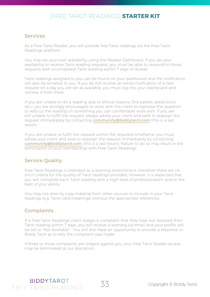#### Services

As a Free Tarot Reader, you will provide free Tarot readings via the Free Tarot Readings platform.

You may set your own availability using the Reader Dashboard. If you set your availability to receive Tarot reading requests, you must be able to respond to those requests with a completed Tarot reading within 7 days of receipt.

Tarot readings assigned to you can be found on your dashboard and the notification will also be emailed to you. If you do not receive an email notification of a new request on a day you are set as available, you must log into your dashboard and retrieve it from there.

If you are unable to do a reading due to ethical reasons (3rd parties, predictions, etc.), you are strongly encouraged to work with the client to rephrase the question to refocus the reading on something you can comfortable work with. If you are still unable to fulfill the request, please advise your client and seek to reassign the request immediately by contacting **[community@biddytarot.com](mailto:community%40biddytarot.com?subject=Need%20to%20reassign%20a%20request)** (this is a last resort).

If you are unable to fulfill the request within the required timeframe, you must advise your client and seek to reassign the request immediately by contacting [community@biddytarot.com](mailto:community%40biddytarot.com?subject=Need%20to%20reassign%20a%20request) (this is a last resort). Failure to do so may result in the termination of your membership with Free Tarot Readings.

### Service Quality

Free Tarot Readings is intended as a learning environment, therefore there are no strict criteria for the quality of Tarot readings provided. However, it is expected that you will complete each Tarot reading with a high level of professionalism and to the best of your ability.

You may not directly copy material from other sources to include in your Tarot readings (e.g. Tarot card meanings) without the appropriate references.

### **Complaints**

If a Free Tarot Readings client lodges a complaint that they have not received their Tarot reading within 7 days, you will receive a warning via email and your profile will be set to "Not Available". You will also have an opportunity to provide a response to Biddy Tarot as to why the complaint was made.

If three or more complaints are lodged against you, your Free Tarot Reader access may be terminated at our discretion.

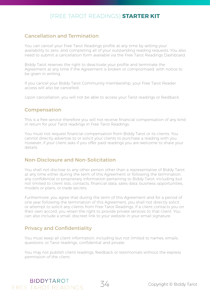### Cancellation and Termination

You can cancel your Free Tarot Readings profile at any time by setting your availability to zero, and completing all of your outstanding reading requests. You also need to submit a cancellation form available via the Free Tarot Readings Dashboard.

Biddy Tarot reserves the right to deactivate your profile and terminate the Agreement at any time if the Agreement is broken or compromised, with notice to be given in writing.

If you cancel your Biddy Tarot Community membership, your Free Tarot Reader access will also be cancelled.

Upon cancellation, you will not be able to access your Tarot readings or feedback.

#### Compensation

This is a free service therefore you will not receive financial compensation of any kind in return for your Tarot readings in Free Tarot Readings.

You must not request financial compensation from Biddy Tarot or its clients. You cannot directly advertise to or solicit your clients to purchase a reading with you. However, if your client asks if you offer paid readings you are welcome to share your details.

#### Non-Disclosure and Non-Solicitation

You shall not disclose to any other person other than a representative of Biddy Tarot at any time either during the term of this Agreement or following the termination, any confidential or proprietary information pertaining to Biddy Tarot, including but not limited to client lists, contacts, financial data, sales data, business opportunities, models or plans, or trade secrets.

Furthermore, you agree that during the term of this Agreement and for a period of one year following the termination of this Agreement, you shall not directly solicit or attempt to solicit any clients from Free Tarot Readings. If a client contacts you on their own accord, you retain the right to provide private services to that client. You can also include a small, discreet link to your website in your email signature.

### Privacy and Confidentiality

You must keep all client information, including but not limited to names, emails, questions, or Tarot readings, confidential and private.

You may not publish client readings, feedback or testimonials without the express permission of the client.